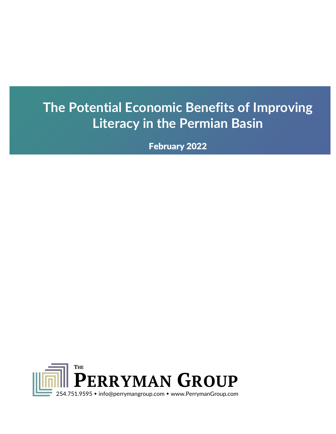# **The Potential Economic Benefits of Improving Literacy in the Permian Basin**

February 2022

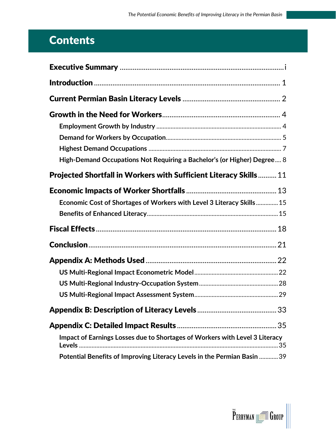# **Contents**

| High-Demand Occupations Not Requiring a Bachelor's (or Higher) Degree 8     |
|-----------------------------------------------------------------------------|
| <b>Projected Shortfall in Workers with Sufficient Literacy Skills  11</b>   |
|                                                                             |
| Economic Cost of Shortages of Workers with Level 3 Literacy Skills 15       |
|                                                                             |
|                                                                             |
|                                                                             |
|                                                                             |
|                                                                             |
|                                                                             |
|                                                                             |
|                                                                             |
|                                                                             |
| Impact of Earnings Losses due to Shortages of Workers with Level 3 Literacy |
| Potential Benefits of Improving Literacy Levels in the Permian Basin  39    |

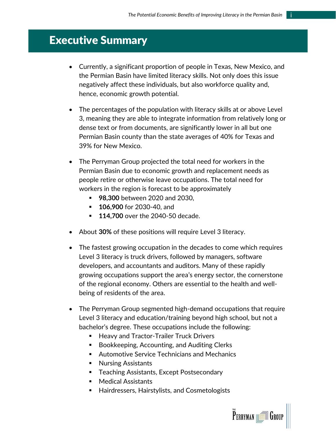## <span id="page-2-0"></span>Executive Summary

- Currently, a significant proportion of people in Texas, New Mexico, and the Permian Basin have limited literacy skills. Not only does this issue negatively affect these individuals, but also workforce quality and, hence, economic growth potential.
- The percentages of the population with literacy skills at or above Level 3, meaning they are able to integrate information from relatively long or dense text or from documents, are significantly lower in all but one Permian Basin county than the state averages of 40% for Texas and 39% for New Mexico.
- The Perryman Group projected the total need for workers in the Permian Basin due to economic growth and replacement needs as people retire or otherwise leave occupations. The total need for workers in the region is forecast to be approximately
	- 98,300 between 2020 and 2030,
	- **106,900** for 2030-40, and
	- **114,700** over the 2040-50 decade.
- About **30%** of these positions will require Level 3 literacy.
- The fastest growing occupation in the decades to come which requires Level 3 literacy is truck drivers, followed by managers, software developers, and accountants and auditors. Many of these rapidly growing occupations support the area's energy sector, the cornerstone of the regional economy. Others are essential to the health and wellbeing of residents of the area.
- The Perryman Group segmented high-demand occupations that require Level 3 literacy and education/training beyond high school, but not a bachelor's degree. These occupations include the following:
	- Heavy and Tractor-Trailer Truck Drivers
	- Bookkeeping, Accounting, and Auditing Clerks
	- Automotive Service Technicians and Mechanics
	- Nursing Assistants
	- **EXEC** Teaching Assistants, Except Postsecondary
	- Medical Assistants
	- Hairdressers, Hairstylists, and Cosmetologists

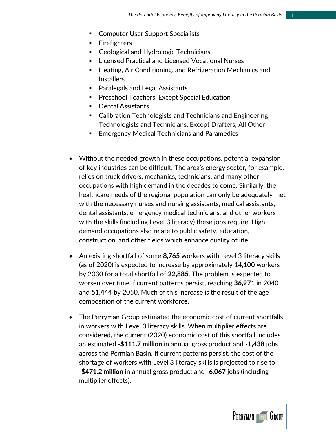- Computer User Support Specialists
- Firefighters
- Geological and Hydrologic Technicians
- Licensed Practical and Licensed Vocational Nurses
- Heating, Air Conditioning, and Refrigeration Mechanics and **Installers**
- Paralegals and Legal Assistants
- Preschool Teachers, Except Special Education
- **Dental Assistants**
- Calibration Technologists and Technicians and Engineering Technologists and Technicians, Except Drafters, All Other
- Emergency Medical Technicians and Paramedics
- Without the needed growth in these occupations, potential expansion of key industries can be difficult. The area's energy sector, for example, relies on truck drivers, mechanics, technicians, and many other occupations with high demand in the decades to come. Similarly, the healthcare needs of the regional population can only be adequately met with the necessary nurses and nursing assistants, medical assistants, dental assistants, emergency medical technicians, and other workers with the skills (including Level 3 literacy) these jobs require. Highdemand occupations also relate to public safety, education, construction, and other fields which enhance quality of life.
- An existing shortfall of some **8,765** workers with Level 3 literacy skills (as of 2020) is expected to increase by approximately 14,100 workers by 2030 for a total shortfall of **22,885**. The problem is expected to worsen over time if current patterns persist, reaching **36,971** in 2040 and **51,444** by 2050. Much of this increase is the result of the age composition of the current workforce.
- The Perryman Group estimated the economic cost of current shortfalls in workers with Level 3 literacy skills. When multiplier effects are considered, the current (2020) economic cost of this shortfall includes an estimated -**\$111.7 million** in annual gross product and **-1,438** jobs across the Permian Basin. If current patterns persist, the cost of the shortage of workers with Level 3 literacy skills is projected to rise to **-\$471.2 million** in annual gross product and **-6,067** jobs (including multiplier effects).

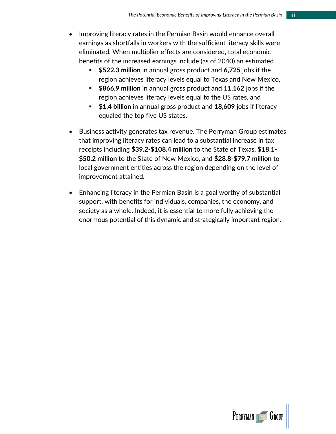- Improving literacy rates in the Permian Basin would enhance overall earnings as shortfalls in workers with the sufficient literacy skills were eliminated. When multiplier effects are considered, total economic benefits of the increased earnings include (as of 2040) an estimated
	- **\$522.3 million** in annual gross product and **6,725** jobs if the region achieves literacy levels equal to Texas and New Mexico,
	- **\$866.9 million** in annual gross product and **11,162** jobs if the region achieves literacy levels equal to the US rates, and
	- **\$1.4 billion** in annual gross product and **18,609** jobs if literacy equaled the top five US states.
- Business activity generates tax revenue. The Perryman Group estimates that improving literacy rates can lead to a substantial increase in tax receipts including **\$39.2-\$108.4 million** to the State of Texas, **\$18.1- \$50.2 million** to the State of New Mexico, and **\$28.8-\$79.7 million** to local government entities across the region depending on the level of improvement attained.
- Enhancing literacy in the Permian Basin is a goal worthy of substantial support, with benefits for individuals, companies, the economy, and society as a whole. Indeed, it is essential to more fully achieving the enormous potential of this dynamic and strategically important region.

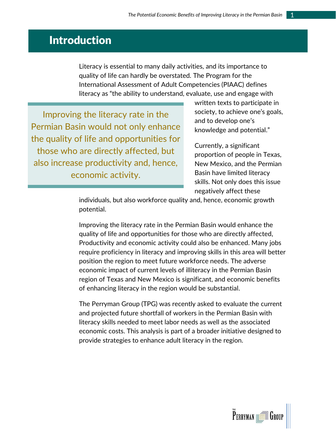# <span id="page-5-0"></span>Introduction

Literacy is essential to many daily activities, and its importance to quality of life can hardly be overstated. The Program for the International Assessment of Adult Competencies (PIAAC) defines literacy as "the ability to understand, evaluate, use and engage with

Improving the literacy rate in the Permian Basin would not only enhance the quality of life and opportunities for those who are directly affected, but also increase productivity and, hence, economic activity.

written texts to participate in society, to achieve one's goals, and to develop one's knowledge and potential."

Currently, a significant proportion of people in Texas, New Mexico, and the Permian Basin have limited literacy skills. Not only does this issue negatively affect these

individuals, but also workforce quality and, hence, economic growth potential.

Improving the literacy rate in the Permian Basin would enhance the quality of life and opportunities for those who are directly affected, Productivity and economic activity could also be enhanced. Many jobs require proficiency in literacy and improving skills in this area will better position the region to meet future workforce needs. The adverse economic impact of current levels of illiteracy in the Permian Basin region of Texas and New Mexico is significant, and economic benefits of enhancing literacy in the region would be substantial.

The Perryman Group (TPG) was recently asked to evaluate the current and projected future shortfall of workers in the Permian Basin with literacy skills needed to meet labor needs as well as the associated economic costs. This analysis is part of a broader initiative designed to provide strategies to enhance adult literacy in the region.

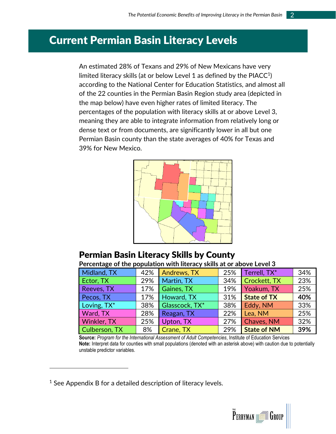### <span id="page-6-0"></span>Current Permian Basin Literacy Levels

An estimated 28% of Texans and 29% of New Mexicans have very limited literacy skills (at or below Level 1 as defined by the PIACC $^1$ ) according to the National Center for Education Statistics, and almost all of the 22 counties in the Permian Basin Region study area (depicted in the map below) have even higher rates of limited literacy. The percentages of the population with literacy skills at or above Level 3, meaning they are able to integrate information from relatively long or dense text or from documents, are significantly lower in all but one Permian Basin county than the state averages of 40% for Texas and 39% for New Mexico.



### Permian Basin Literacy Skills by County

**Percentage of the population with literacy skills at or above Level 3**

| Midland, TX        | 42% | Andrews, TX    | 25% | Terrell, TX*       | 34% |
|--------------------|-----|----------------|-----|--------------------|-----|
| Ector, TX          | 29% | Martin, TX     | 34% | Crockett, TX       | 23% |
| Reeves, TX         | 17% | Gaines, TX     | 19% | Yoakum, TX         | 25% |
| Pecos, TX          | 17% | Howard, TX     | 31% | <b>State of TX</b> | 40% |
| Loving, TX*        | 38% | Glasscock, TX* | 38% | Eddy, NM           | 33% |
| Ward, TX           | 28% | Reagan, TX     | 22% | Lea, NM            | 25% |
| <b>Winkler, TX</b> | 25% | Upton, TX      | 27% | Chaves, NM         | 32% |
| Culberson, TX      | 8%  | Crane, TX      | 29% | <b>State of NM</b> | 39% |

**Source:** *Program for the International Assessment of Adult Competencies*, Institute of Education Services **Note:** Interpret data for counties with small populations (denoted with an asterisk above) with caution due to potentially unstable predictor variables.

 $1$  See Appendix B for a detailed description of literacy levels.

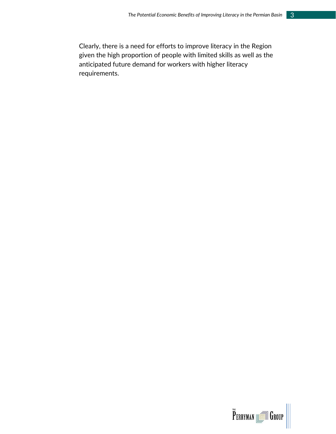Clearly, there is a need for efforts to improve literacy in the Region given the high proportion of people with limited skills as well as the anticipated future demand for workers with higher literacy requirements.

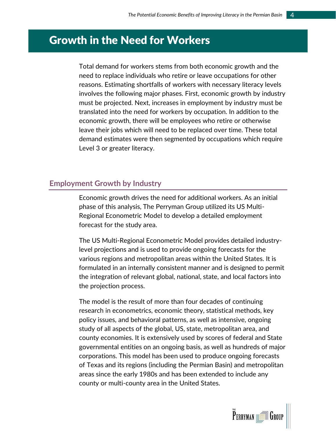## <span id="page-8-0"></span>Growth in the Need for Workers

Total demand for workers stems from both economic growth and the need to replace individuals who retire or leave occupations for other reasons. Estimating shortfalls of workers with necessary literacy levels involves the following major phases. First, economic growth by industry must be projected. Next, increases in employment by industry must be translated into the need for workers by occupation. In addition to the economic growth, there will be employees who retire or otherwise leave their jobs which will need to be replaced over time. These total demand estimates were then segmented by occupations which require Level 3 or greater literacy.

#### <span id="page-8-1"></span>**Employment Growth by Industry**

Economic growth drives the need for additional workers. As an initial phase of this analysis, The Perryman Group utilized its US Multi-Regional Econometric Model to develop a detailed employment forecast for the study area.

The US Multi-Regional Econometric Model provides detailed industrylevel projections and is used to provide ongoing forecasts for the various regions and metropolitan areas within the United States. It is formulated in an internally consistent manner and is designed to permit the integration of relevant global, national, state, and local factors into the projection process.

The model is the result of more than four decades of continuing research in econometrics, economic theory, statistical methods, key policy issues, and behavioral patterns, as well as intensive, ongoing study of all aspects of the global, US, state, metropolitan area, and county economies. It is extensively used by scores of federal and State governmental entities on an ongoing basis, as well as hundreds of major corporations. This model has been used to produce ongoing forecasts of Texas and its regions (including the Permian Basin) and metropolitan areas since the early 1980s and has been extended to include any county or multi-county area in the United States.

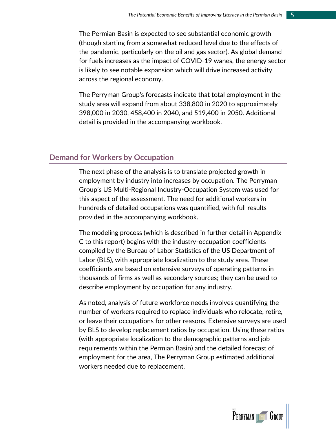The Permian Basin is expected to see substantial economic growth (though starting from a somewhat reduced level due to the effects of the pandemic, particularly on the oil and gas sector). As global demand for fuels increases as the impact of COVID-19 wanes, the energy sector is likely to see notable expansion which will drive increased activity across the regional economy.

The Perryman Group's forecasts indicate that total employment in the study area will expand from about 338,800 in 2020 to approximately 398,000 in 2030, 458,400 in 2040, and 519,400 in 2050. Additional detail is provided in the accompanying workbook.

#### <span id="page-9-0"></span>**Demand for Workers by Occupation**

The next phase of the analysis is to translate projected growth in employment by industry into increases by occupation. The Perryman Group's US Multi-Regional Industry-Occupation System was used for this aspect of the assessment. The need for additional workers in hundreds of detailed occupations was quantified, with full results provided in the accompanying workbook.

The modeling process (which is described in further detail in Appendix C to this report) begins with the industry-occupation coefficients compiled by the Bureau of Labor Statistics of the US Department of Labor (BLS), with appropriate localization to the study area. These coefficients are based on extensive surveys of operating patterns in thousands of firms as well as secondary sources; they can be used to describe employment by occupation for any industry.

As noted, analysis of future workforce needs involves quantifying the number of workers required to replace individuals who relocate, retire, or leave their occupations for other reasons. Extensive surveys are used by BLS to develop replacement ratios by occupation. Using these ratios (with appropriate localization to the demographic patterns and job requirements within the Permian Basin) and the detailed forecast of employment for the area, The Perryman Group estimated additional workers needed due to replacement.

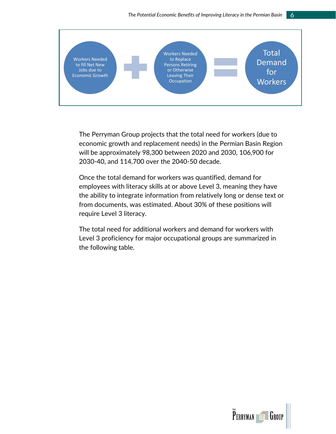

The Perryman Group projects that the total need for workers (due to economic growth and replacement needs) in the Permian Basin Region will be approximately 98,300 between 2020 and 2030, 106,900 for 2030-40, and 114,700 over the 2040-50 decade.

Once the total demand for workers was quantified, demand for employees with literacy skills at or above Level 3, meaning they have the ability to integrate information from relatively long or dense text or from documents, was estimated. About 30% of these positions will require Level 3 literacy.

The total need for additional workers and demand for workers with Level 3 proficiency for major occupational groups are summarized in the following table.

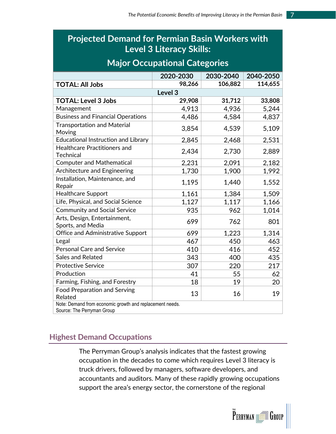### **Projected Demand for Permian Basin Workers with Level 3 Literacy Skills:**

### **Major Occupational Categories**

|                                                                                        | 2020-2030          | 2030-2040 | 2040-2050 |
|----------------------------------------------------------------------------------------|--------------------|-----------|-----------|
| <b>TOTAL: All Jobs</b>                                                                 | 98,266             | 106,882   | 114,655   |
|                                                                                        | Level <sub>3</sub> |           |           |
| <b>TOTAL: Level 3 Jobs</b>                                                             | 29,908             | 31,712    | 33,808    |
| Management                                                                             | 4,913              | 4,936     | 5,244     |
| <b>Business and Financial Operations</b>                                               | 4,486              | 4,584     | 4,837     |
| <b>Transportation and Material</b><br>Moving                                           | 3,854              | 4,539     | 5,109     |
| <b>Educational Instruction and Library</b>                                             | 2,845              | 2,468     | 2,531     |
| <b>Healthcare Practitioners and</b><br><b>Technical</b>                                | 2,434              | 2,730     | 2,889     |
| <b>Computer and Mathematical</b>                                                       | 2,231              | 2,091     | 2,182     |
| Architecture and Engineering                                                           | 1,730              | 1,900     | 1,992     |
| Installation, Maintenance, and<br>Repair                                               | 1,195              | 1,440     | 1,552     |
| <b>Healthcare Support</b>                                                              | 1,161              | 1,384     | 1,509     |
| Life, Physical, and Social Science                                                     | 1,127              | 1,117     | 1,166     |
| <b>Community and Social Service</b>                                                    | 935                | 962       | 1,014     |
| Arts, Design, Entertainment,<br>Sports, and Media                                      | 699                | 762       | 801       |
| <b>Office and Administrative Support</b>                                               | 699                | 1,223     | 1,314     |
| Legal                                                                                  | 467                | 450       | 463       |
| <b>Personal Care and Service</b>                                                       | 410                | 416       | 452       |
| Sales and Related                                                                      | 343                | 400       | 435       |
| <b>Protective Service</b>                                                              | 307                | 220       | 217       |
| Production                                                                             | 41                 | 55        | 62        |
| Farming, Fishing, and Forestry                                                         | 18                 | 19        | 20        |
| <b>Food Preparation and Serving</b><br>Related                                         | 13                 | 16        | 19        |
| Note: Demand from economic growth and replacement needs.<br>Source: The Perryman Group |                    |           |           |

### <span id="page-11-0"></span>**Highest Demand Occupations**

The Perryman Group's analysis indicates that the fastest growing occupation in the decades to come which requires Level 3 literacy is truck drivers, followed by managers, software developers, and accountants and auditors. Many of these rapidly growing occupations support the area's energy sector, the cornerstone of the regional

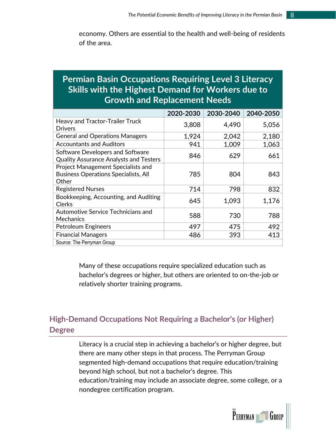economy. Others are essential to the health and well-being of residents of the area.

### **Permian Basin Occupations Requiring Level 3 Literacy Skills with the Highest Demand for Workers due to Growth and Replacement Needs**

|                                                                                                   | 2020-2030 | 2030-2040 | 2040-2050 |
|---------------------------------------------------------------------------------------------------|-----------|-----------|-----------|
| Heavy and Tractor-Trailer Truck                                                                   | 3,808     | 4,490     | 5,056     |
| <b>Drivers</b>                                                                                    |           |           |           |
| <b>General and Operations Managers</b>                                                            | 1,924     | 2,042     | 2,180     |
| <b>Accountants and Auditors</b>                                                                   | 941       | 1,009     | 1,063     |
| <b>Software Developers and Software</b><br><b>Quality Assurance Analysts and Testers</b>          | 846       | 629       | 661       |
| <b>Project Management Specialists and</b><br><b>Business Operations Specialists, All</b><br>Other | 785       | 804       | 843       |
| <b>Registered Nurses</b>                                                                          | 714       | 798       | 832       |
| Bookkeeping, Accounting, and Auditing<br><b>Clerks</b>                                            | 645       | 1,093     | 1,176     |
| Automotive Service Technicians and<br>Mechanics                                                   | 588       | 730       | 788       |
| <b>Petroleum Engineers</b>                                                                        | 497       | 475       | 492       |
| <b>Financial Managers</b>                                                                         | 486       | 393       | 413       |
| Source: The Perryman Group                                                                        |           |           |           |

Many of these occupations require specialized education such as bachelor's degrees or higher, but others are oriented to on-the-job or relatively shorter training programs.

### <span id="page-12-0"></span>**High-Demand Occupations Not Requiring a Bachelor's (or Higher) Degree**

Literacy is a crucial step in achieving a bachelor's or higher degree, but there are many other steps in that process. The Perryman Group segmented high-demand occupations that require education/training beyond high school, but not a bachelor's degree. This education/training may include an associate degree, some college, or a nondegree certification program.

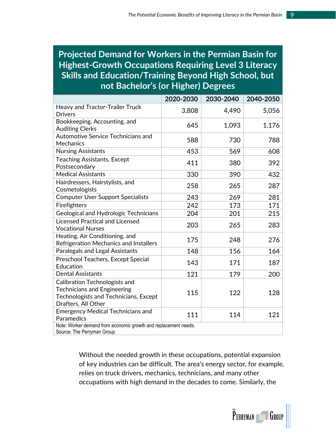### **Projected Demand for Workers in the Permian Basin for Highest-Growth Occupations Requiring Level 3 Literacy Skills and Education/Training Beyond High School, but not Bachelor's (or Higher) Degrees**

|                                                                 | 2020-2030 | 2030-2040 | 2040-2050 |
|-----------------------------------------------------------------|-----------|-----------|-----------|
| Heavy and Tractor-Trailer Truck                                 | 3,808     | 4,490     | 5,056     |
| <b>Drivers</b>                                                  |           |           |           |
| Bookkeeping, Accounting, and                                    | 645       | 1,093     | 1,176     |
| <b>Auditing Clerks</b>                                          |           |           |           |
| Automotive Service Technicians and                              | 588       | 730       | 788       |
| <b>Mechanics</b>                                                |           |           |           |
| <b>Nursing Assistants</b>                                       | 453       | 569       | 608       |
| <b>Teaching Assistants, Except</b>                              | 411       | 380       | 392       |
| Postsecondary                                                   |           |           |           |
| <b>Medical Assistants</b>                                       | 330       | 390       | 432       |
| Hairdressers, Hairstylists, and                                 | 258       | 265       | 287       |
| Cosmetologists                                                  |           |           |           |
| <b>Computer User Support Specialists</b>                        | 243       | 269       | 281       |
| Firefighters                                                    | 242       | 173       | 171       |
| Geological and Hydrologic Technicians                           | 204       | 201       | 215       |
| <b>Licensed Practical and Licensed</b>                          |           | 265       | 283       |
| <b>Vocational Nurses</b>                                        | 203       |           |           |
| Heating, Air Conditioning, and                                  | 175       | 248       | 276       |
| Refrigeration Mechanics and Installers                          |           |           |           |
| Paralegals and Legal Assistants                                 | 148       | 156       | 164       |
| Preschool Teachers, Except Special                              | 143       | 171       | 187       |
| Education                                                       |           |           |           |
| <b>Dental Assistants</b>                                        | 121       | 179       | 200       |
| Calibration Technologists and                                   |           |           |           |
| <b>Technicians and Engineering</b>                              | 115       | 122       |           |
| Technologists and Technicians, Except                           |           |           | 128       |
| Drafters, All Other                                             |           |           |           |
| <b>Emergency Medical Technicians and</b>                        | 111       | 114       | 121       |
| Paramedics                                                      |           |           |           |
| Note: Worker demand from economic growth and replacement needs. |           |           |           |
| Source: The Perryman Group                                      |           |           |           |

Without the needed growth in these occupations, potential expansion of key industries can be difficult. The area's energy sector, for example, relies on truck drivers, mechanics, technicians, and many other occupations with high demand in the decades to come. Similarly, the

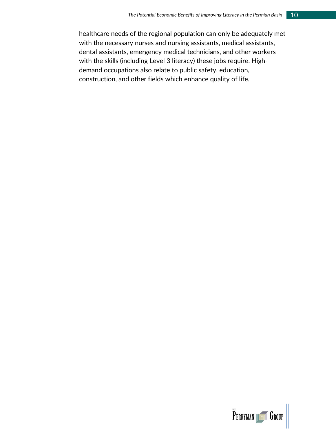healthcare needs of the regional population can only be adequately met with the necessary nurses and nursing assistants, medical assistants, dental assistants, emergency medical technicians, and other workers with the skills (including Level 3 literacy) these jobs require. Highdemand occupations also relate to public safety, education, construction, and other fields which enhance quality of life.

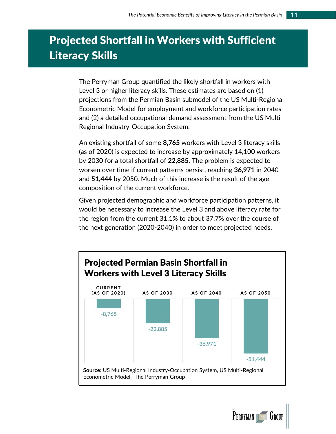# <span id="page-15-0"></span>Projected Shortfall in Workers with Sufficient Literacy Skills

The Perryman Group quantified the likely shortfall in workers with Level 3 or higher literacy skills. These estimates are based on (1) projections from the Permian Basin submodel of the US Multi-Regional Econometric Model for employment and workforce participation rates and (2) a detailed occupational demand assessment from the US Multi-Regional Industry-Occupation System.

An existing shortfall of some **8,765** workers with Level 3 literacy skills (as of 2020) is expected to increase by approximately 14,100 workers by 2030 for a total shortfall of **22,885**. The problem is expected to worsen over time if current patterns persist, reaching **36,971** in 2040 and **51,444** by 2050. Much of this increase is the result of the age composition of the current workforce.

Given projected demographic and workforce participation patterns, it would be necessary to increase the Level 3 and above literacy rate for the region from the current 31.1% to about 37.7% over the course of the next generation (2020-2040) in order to meet projected needs.



**PERRYMAN HEADER** GROU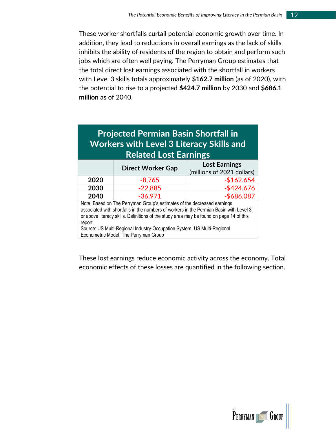These worker shortfalls curtail potential economic growth over time. In addition, they lead to reductions in overall earnings as the lack of skills inhibits the ability of residents of the region to obtain and perform such jobs which are often well paying. The Perryman Group estimates that the total direct lost earnings associated with the shortfall in workers with Level 3 skills totals approximately **\$162.7 million** (as of 2020), with the potential to rise to a projected **\$424.7 million** by 2030 and **\$686.1 million** as of 2040.

## **Projected Permian Basin Shortfall in Workers with Level 3 Literacy Skills and Related Lost Earnings**

|                                                                                                                                                                   | <b>Direct Worker Gap</b> | <b>Lost Earnings</b><br>(millions of 2021 dollars) |  |  |
|-------------------------------------------------------------------------------------------------------------------------------------------------------------------|--------------------------|----------------------------------------------------|--|--|
| 2020                                                                                                                                                              | $-8,765$                 | $-$162.654$                                        |  |  |
| 2030                                                                                                                                                              | $-22,885$                | $-$ \$424.676                                      |  |  |
| 2040<br>$-36,971$                                                                                                                                                 |                          |                                                    |  |  |
| Note: Based on The Perryman Group's estimates of the decreased earnings<br>associated with shortfalls in the numbers of workers in the Permian Basin with Level 3 |                          |                                                    |  |  |
|                                                                                                                                                                   |                          | $-$ \$686.087                                      |  |  |

associated with shortfalls in the numbers of workers in the Permian Basin with Level 3 or above literacy skills. Definitions of the study area may be found on page 14 of this report.

Source: US Multi-Regional Industry-Occupation System, US Multi-Regional Econometric Model, The Perryman Group

These lost earnings reduce economic activity across the economy. Total economic effects of these losses are quantified in the following section.

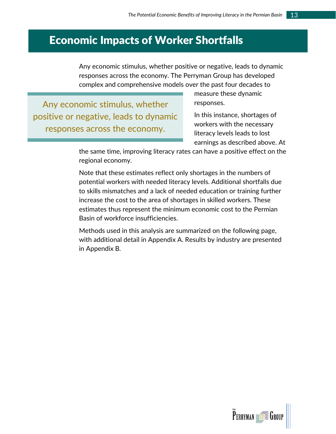## <span id="page-17-0"></span>Economic Impacts of Worker Shortfalls

Any economic stimulus, whether positive or negative, leads to dynamic responses across the economy. The Perryman Group has developed complex and comprehensive models over the past four decades to

Any economic stimulus, whether positive or negative, leads to dynamic responses across the economy.

measure these dynamic responses.

In this instance, shortages of workers with the necessary literacy levels leads to lost earnings as described above. At

the same time, improving literacy rates can have a positive effect on the regional economy.

Note that these estimates reflect only shortages in the numbers of potential workers with needed literacy levels. Additional shortfalls due to skills mismatches and a lack of needed education or training further increase the cost to the area of shortages in skilled workers. These estimates thus represent the minimum economic cost to the Permian Basin of workforce insufficiencies.

Methods used in this analysis are summarized on the following page, with additional detail in Appendix A. Results by industry are presented in Appendix B.

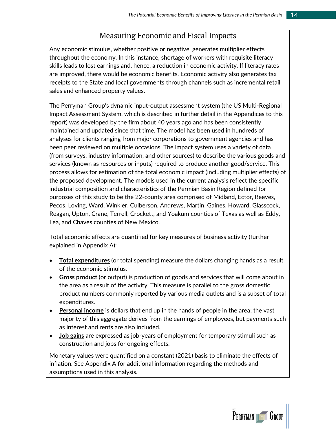### Measuring Economic and Fiscal Impacts

Any economic stimulus, whether positive or negative, generates multiplier effects throughout the economy. In this instance, shortage of workers with requisite literacy skills leads to lost earnings and, hence, a reduction in economic activity. If literacy rates are improved, there would be economic benefits. Economic activity also generates tax receipts to the State and local governments through channels such as incremental retail sales and enhanced property values.

The Perryman Group's dynamic input-output assessment system (the US Multi-Regional Impact Assessment System, which is described in further detail in the Appendices to this report) was developed by the firm about 40 years ago and has been consistently maintained and updated since that time. The model has been used in hundreds of analyses for clients ranging from major corporations to government agencies and has been peer reviewed on multiple occasions. The impact system uses a variety of data (from surveys, industry information, and other sources) to describe the various goods and services (known as resources or inputs) required to produce another good/service. This process allows for estimation of the total economic impact (including multiplier effects) of the proposed development. The models used in the current analysis reflect the specific industrial composition and characteristics of the Permian Basin Region defined for purposes of this study to be the 22-county area comprised of Midland, Ector, Reeves, Pecos, Loving, Ward, Winkler, Culberson, Andrews, Martin, Gaines, Howard, Glasscock, Reagan, Upton, Crane, Terrell, Crockett, and Yoakum counties of Texas as well as Eddy, Lea, and Chaves counties of New Mexico.

Total economic effects are quantified for key measures of business activity (further explained in Appendix A):

- **Total expenditures** (or total spending) measure the dollars changing hands as a result of the economic stimulus.
- **Gross product** (or output) is production of goods and services that will come about in the area as a result of the activity. This measure is parallel to the gross domestic product numbers commonly reported by various media outlets and is a subset of total expenditures.
- **Personal income** is dollars that end up in the hands of people in the area; the vast majority of this aggregate derives from the earnings of employees, but payments such as interest and rents are also included.
- **Job gains** are expressed as job-years of employment for temporary stimuli such as construction and jobs for ongoing effects.

Monetary values were quantified on a constant (2021) basis to eliminate the effects of inflation. See Appendix A for additional information regarding the methods and assumptions used in this analysis.

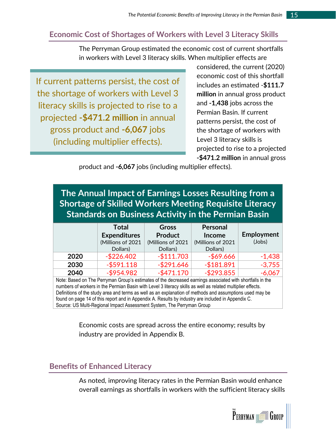### <span id="page-19-0"></span>**Economic Cost of Shortages of Workers with Level 3 Literacy Skills**

The Perryman Group estimated the economic cost of current shortfalls in workers with Level 3 literacy skills. When multiplier effects are

If current patterns persist, the cost of the shortage of workers with Level 3 literacy skills is projected to rise to a projected **-\$471.2 million** in annual gross product and **-6,067** jobs (including multiplier effects).

considered, the current (2020) economic cost of this shortfall includes an estimated -**\$111.7 million** in annual gross product and **-1,438** jobs across the Permian Basin. If current patterns persist, the cost of the shortage of workers with Level 3 literacy skills is projected to rise to a projected **-\$471.2 million** in annual gross

product and **-6,067** jobs (including multiplier effects).

**The Annual Impact of Earnings Losses Resulting from a Shortage of Skilled Workers Meeting Requisite Literacy Standards on Business Activity in the Permian Basin**

|      | <b>Total</b>        | <b>Gross</b>      | Personal          |            |
|------|---------------------|-------------------|-------------------|------------|
|      | <b>Expenditures</b> | <b>Product</b>    | <b>Income</b>     | Employment |
|      | (Millions of 2021   | (Millions of 2021 | (Millions of 2021 | (Jobs)     |
|      | Dollars)            | Dollars)          | Dollars)          |            |
| 2020 | $-$ \$226.402       | $-$111.703$       | $-$ \$69.666      | $-1,438$   |
| 2030 | $-$ \$591.118       | $-$ \$291.646     | $-$181.891$       | $-3,755$   |
| 2040 | $-$ \$954.982       | $-$ \$471.170     | $-$ \$293.855     | $-6,067$   |

Note: Based on The Perryman Group's estimates of the decreased earnings associated with shortfalls in the numbers of workers in the Permian Basin with Level 3 literacy skills as well as related multiplier effects. Definitions of the study area and terms as well as an explanation of methods and assumptions used may be found on page 14 of this report and in Appendix A. Results by industry are included in Appendix C. Source: US Multi-Regional Impact Assessment System, The Perryman Group

> Economic costs are spread across the entire economy; results by industry are provided in Appendix B.

### <span id="page-19-1"></span>**Benefits of Enhanced Literacy**

As noted, improving literacy rates in the Permian Basin would enhance overall earnings as shortfalls in workers with the sufficient literacy skills

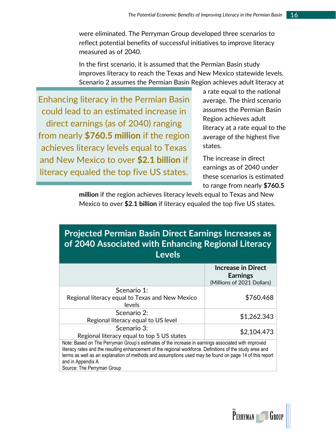were eliminated. The Perryman Group developed three scenarios to reflect potential benefits of successful initiatives to improve literacy measured as of 2040.

In the first scenario, it is assumed that the Permian Basin study improves literacy to reach the Texas and New Mexico statewide levels. Scenario 2 assumes the Permian Basin Region achieves adult literacy at

Enhancing literacy in the Permian Basin could lead to an estimated increase in direct earnings (as of 2040) ranging from nearly **\$760.5 million** if the region achieves literacy levels equal to Texas and New Mexico to over **\$2.1 billion** if literacy equaled the top five US states.

a rate equal to the national average. The third scenario assumes the Permian Basin Region achieves adult literacy at a rate equal to the average of the highest five states.

The increase in direct earnings as of 2040 under these scenarios is estimated to range from nearly **\$760.5** 

**million** if the region achieves literacy levels equal to Texas and New Mexico to over **\$2.1 billion** if literacy equaled the top five US states.

| <b>Projected Permian Basin Direct Earnings Increases as</b> |
|-------------------------------------------------------------|
| of 2040 Associated with Enhancing Regional Literacy         |
| <b>Levels</b>                                               |

|                                                                                                                                                                                                                                                                                                                                                                               | <b>Increase in Direct</b><br><b>Earnings</b><br>(Millions of 2021 Dollars) |
|-------------------------------------------------------------------------------------------------------------------------------------------------------------------------------------------------------------------------------------------------------------------------------------------------------------------------------------------------------------------------------|----------------------------------------------------------------------------|
| Scenario 1:<br>Regional literacy equal to Texas and New Mexico<br>levels                                                                                                                                                                                                                                                                                                      | \$760.468                                                                  |
| Scenario 2:<br>Regional literacy equal to US level                                                                                                                                                                                                                                                                                                                            | \$1,262.343                                                                |
| Scenario 3:<br>Regional literacy equal to top 5 US states                                                                                                                                                                                                                                                                                                                     | \$2,104.473                                                                |
| Note: Based on The Perryman Group's estimates of the increase in earnings associated with improved<br>literacy rates and the resulting enhancement of the regional workforce. Definitions of the study area and<br>terms as well as an explanation of methods and assumptions used may be found on page 14 of this report<br>and in Appendix A.<br>Source: The Perryman Group |                                                                            |

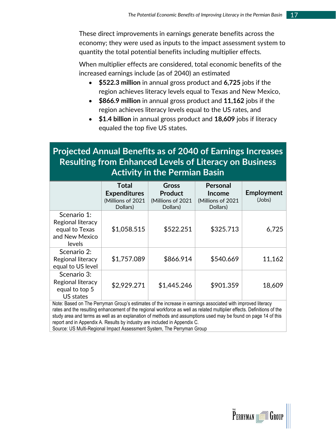These direct improvements in earnings generate benefits across the economy; they were used as inputs to the impact assessment system to quantity the total potential benefits including multiplier effects.

When multiplier effects are considered, total economic benefits of the increased earnings include (as of 2040) an estimated

- **\$522.3 million** in annual gross product and **6,725** jobs if the region achieves literacy levels equal to Texas and New Mexico,
- **\$866.9 million** in annual gross product and **11,162** jobs if the region achieves literacy levels equal to the US rates, and
- **\$1.4 billion** in annual gross product and **18,609** jobs if literacy equaled the top five US states.

### **Projected Annual Benefits as of 2040 of Earnings Increases Resulting from Enhanced Levels of Literacy on Business Activity in the Permian Basin**

|                                                                                | Total<br><b>Expenditures</b><br>(Millions of 2021<br>Dollars) | Gross<br><b>Product</b><br>(Millions of 2021<br>Dollars) | Personal<br><b>Income</b><br>(Millions of 2021<br>Dollars) | Employment<br>(Jobs) |
|--------------------------------------------------------------------------------|---------------------------------------------------------------|----------------------------------------------------------|------------------------------------------------------------|----------------------|
| Scenario 1:<br>Regional literacy<br>equal to Texas<br>and New Mexico<br>levels | \$1,058.515                                                   | \$522.251                                                | \$325.713                                                  | 6,725                |
| Scenario 2:<br>Regional literacy<br>equal to US level                          | \$1,757.089                                                   | \$866.914                                                | \$540.669                                                  | 11,162               |
| Scenario 3:<br>Regional literacy<br>equal to top 5<br><b>US states</b>         | \$2,929.271                                                   | \$1,445.246                                              | \$901.359                                                  | 18,609               |

Note: Based on The Perryman Group's estimates of the increase in earnings associated with improved literacy rates and the resulting enhancement of the regional workforce as well as related multiplier effects. Definitions of the study area and terms as well as an explanation of methods and assumptions used may be found on page 14 of this report and in Appendix A. Results by industry are included in Appendix C.

Source: US Multi-Regional Impact Assessment System, The Perryman Group

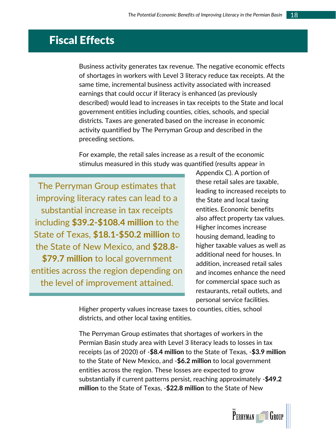# <span id="page-22-0"></span>Fiscal Effects

Business activity generates tax revenue. The negative economic effects of shortages in workers with Level 3 literacy reduce tax receipts. At the same time, incremental business activity associated with increased earnings that could occur if literacy is enhanced (as previously described) would lead to increases in tax receipts to the State and local government entities including counties, cities, schools, and special districts. Taxes are generated based on the increase in economic activity quantified by The Perryman Group and described in the preceding sections.

For example, the retail sales increase as a result of the economic stimulus measured in this study was quantified (results appear in

The Perryman Group estimates that improving literacy rates can lead to a substantial increase in tax receipts including **\$39.2-\$108.4 million** to the State of Texas, **\$18.1-\$50.2 million** to the State of New Mexico, and **\$28.8- \$79.7 million** to local government entities across the region depending on the level of improvement attained.

Appendix C). A portion of these retail sales are taxable, leading to increased receipts to the State and local taxing entities. Economic benefits also affect property tax values. Higher incomes increase housing demand, leading to higher taxable values as well as additional need for houses. In addition, increased retail sales and incomes enhance the need for commercial space such as restaurants, retail outlets, and personal service facilities.

Higher property values increase taxes to counties, cities, school districts, and other local taxing entities.

The Perryman Group estimates that shortages of workers in the Permian Basin study area with Level 3 literacy leads to losses in tax receipts (as of 2020) of -**\$8.4 million** to the State of Texas, -**\$3.9 million** to the State of New Mexico, and -**\$6.2 million** to local government entities across the region. These losses are expected to grow substantially if current patterns persist, reaching approximately -**\$49.2 million** to the State of Texas, -**\$22.8 million** to the State of New

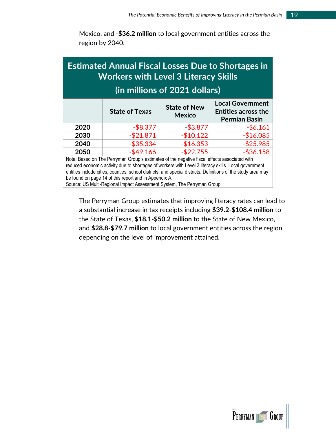Mexico, and -**\$36.2 million** to local government entities across the region by 2040.

# **Estimated Annual Fiscal Losses Due to Shortages in Workers with Level 3 Literacy Skills (in millions of 2021 dollars)**

|                                | <b>State of Texas</b> | <b>State of New</b><br><b>Mexico</b> | <b>Local Government</b><br><b>Entities across the</b><br><b>Permian Basin</b> |  |  |
|--------------------------------|-----------------------|--------------------------------------|-------------------------------------------------------------------------------|--|--|
| 2020                           | $-$ \$8.377           | $-$ \$3.877                          | $-$6.161$                                                                     |  |  |
| 2030                           | $-$ \$21.871          | $-$10.122$                           | $-$16.085$                                                                    |  |  |
| 2040                           | $-$ \$35.334          | $-$16.353$                           | $-$ \$25.985                                                                  |  |  |
| 2050                           | $-$ \$49.166          | $-$ \$22.755                         | $-$ \$36.158                                                                  |  |  |
| $\blacksquare$<br>.<br>.<br>-- |                       |                                      |                                                                               |  |  |

Note: Based on The Perryman Group's estimates of the negative fiscal effects associated with reduced economic activity due to shortages of workers with Level 3 literacy skills. Local government entities include cities, counties, school districts, and special districts. Definitions of the study area may be found on page 14 of this report and in Appendix A.

Source: US Multi-Regional Impact Assessment System, The Perryman Group

The Perryman Group estimates that improving literacy rates can lead to a substantial increase in tax receipts including **\$39.2-\$108.4 million** to the State of Texas, **\$18.1-\$50.2 million** to the State of New Mexico, and **\$28.8-\$79.7 million** to local government entities across the region depending on the level of improvement attained.

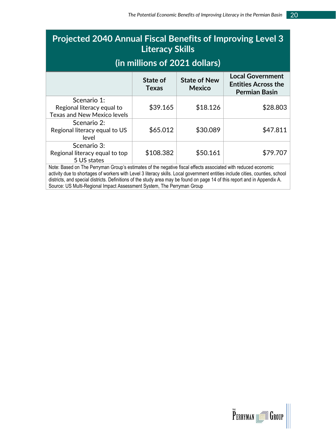# **Projected 2040 Annual Fiscal Benefits of Improving Level 3 Literacy Skills**

## **(in millions of 2021 dollars)**

|                                                                                 | State of<br><b>Texas</b> | <b>State of New</b><br><b>Mexico</b> | <b>Local Government</b><br><b>Entities Across the</b><br><b>Permian Basin</b> |
|---------------------------------------------------------------------------------|--------------------------|--------------------------------------|-------------------------------------------------------------------------------|
| Scenario 1:<br>Regional literacy equal to<br><b>Texas and New Mexico levels</b> | \$39.165                 | \$18.126                             | \$28.803                                                                      |
| Scenario 2:<br>Regional literacy equal to US<br>level                           | \$65.012                 | \$30.089                             | \$47.811                                                                      |
| Scenario 3:<br>Regional literacy equal to top<br>5 US states                    | \$108.382                | \$50.161                             | \$79.707                                                                      |

Note: Based on The Perryman Group's estimates of the negative fiscal effects associated with reduced economic activity due to shortages of workers with Level 3 literacy skills. Local government entities include cities, counties, school districts, and special districts. Definitions of the study area may be found on page 14 of this report and in Appendix A. Source: US Multi-Regional Impact Assessment System, The Perryman Group

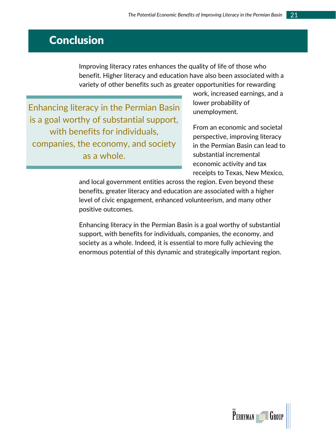# <span id="page-25-0"></span>**Conclusion**

Improving literacy rates enhances the quality of life of those who benefit. Higher literacy and education have also been associated with a variety of other benefits such as greater opportunities for rewarding

Enhancing literacy in the Permian Basin is a goal worthy of substantial support, with benefits for individuals, companies, the economy, and society as a whole.

work, increased earnings, and a lower probability of unemployment.

From an economic and societal perspective, improving literacy in the Permian Basin can lead to substantial incremental economic activity and tax receipts to Texas, New Mexico,

and local government entities across the region. Even beyond these benefits, greater literacy and education are associated with a higher level of civic engagement, enhanced volunteerism, and many other positive outcomes.

Enhancing literacy in the Permian Basin is a goal worthy of substantial support, with benefits for individuals, companies, the economy, and society as a whole. Indeed, it is essential to more fully achieving the enormous potential of this dynamic and strategically important region.

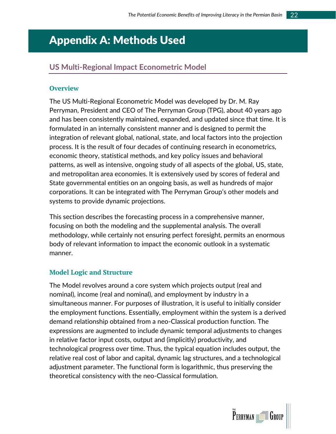# <span id="page-26-0"></span>Appendix A: Methods Used

### <span id="page-26-1"></span>**US Multi-Regional Impact Econometric Model**

#### **Overview**

The US Multi-Regional Econometric Model was developed by Dr. M. Ray Perryman, President and CEO of The Perryman Group (TPG), about 40 years ago and has been consistently maintained, expanded, and updated since that time. It is formulated in an internally consistent manner and is designed to permit the integration of relevant global, national, state, and local factors into the projection process. It is the result of four decades of continuing research in econometrics, economic theory, statistical methods, and key policy issues and behavioral patterns, as well as intensive, ongoing study of all aspects of the global, US, state, and metropolitan area economies. It is extensively used by scores of federal and State governmental entities on an ongoing basis, as well as hundreds of major corporations. It can be integrated with The Perryman Group's other models and systems to provide dynamic projections.

This section describes the forecasting process in a comprehensive manner, focusing on both the modeling and the supplemental analysis. The overall methodology, while certainly not ensuring perfect foresight, permits an enormous body of relevant information to impact the economic outlook in a systematic manner.

#### **Model Logic and Structure**

The Model revolves around a core system which projects output (real and nominal), income (real and nominal), and employment by industry in a simultaneous manner. For purposes of illustration, it is useful to initially consider the employment functions. Essentially, employment within the system is a derived demand relationship obtained from a neo-Classical production function. The expressions are augmented to include dynamic temporal adjustments to changes in relative factor input costs, output and (implicitly) productivity, and technological progress over time. Thus, the typical equation includes output, the relative real cost of labor and capital, dynamic lag structures, and a technological adjustment parameter. The functional form is logarithmic, thus preserving the theoretical consistency with the neo-Classical formulation.

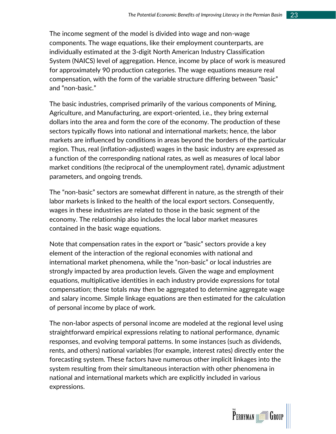The income segment of the model is divided into wage and non-wage components. The wage equations, like their employment counterparts, are individually estimated at the 3-digit North American Industry Classification System (NAICS) level of aggregation. Hence, income by place of work is measured for approximately 90 production categories. The wage equations measure real compensation, with the form of the variable structure differing between "basic" and "non-basic."

The basic industries, comprised primarily of the various components of Mining, Agriculture, and Manufacturing, are export-oriented, i.e., they bring external dollars into the area and form the core of the economy. The production of these sectors typically flows into national and international markets; hence, the labor markets are influenced by conditions in areas beyond the borders of the particular region. Thus, real (inflation-adjusted) wages in the basic industry are expressed as a function of the corresponding national rates, as well as measures of local labor market conditions (the reciprocal of the unemployment rate), dynamic adjustment parameters, and ongoing trends.

The "non-basic" sectors are somewhat different in nature, as the strength of their labor markets is linked to the health of the local export sectors. Consequently, wages in these industries are related to those in the basic segment of the economy. The relationship also includes the local labor market measures contained in the basic wage equations.

Note that compensation rates in the export or "basic" sectors provide a key element of the interaction of the regional economies with national and international market phenomena, while the "non-basic" or local industries are strongly impacted by area production levels. Given the wage and employment equations, multiplicative identities in each industry provide expressions for total compensation; these totals may then be aggregated to determine aggregate wage and salary income. Simple linkage equations are then estimated for the calculation of personal income by place of work.

The non-labor aspects of personal income are modeled at the regional level using straightforward empirical expressions relating to national performance, dynamic responses, and evolving temporal patterns. In some instances (such as dividends, rents, and others) national variables (for example, interest rates) directly enter the forecasting system. These factors have numerous other implicit linkages into the system resulting from their simultaneous interaction with other phenomena in national and international markets which are explicitly included in various expressions.

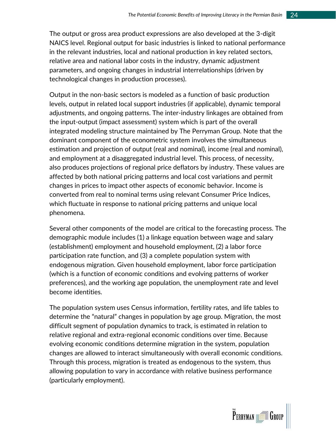The output or gross area product expressions are also developed at the 3-digit NAICS level. Regional output for basic industries is linked to national performance in the relevant industries, local and national production in key related sectors, relative area and national labor costs in the industry, dynamic adjustment parameters, and ongoing changes in industrial interrelationships (driven by technological changes in production processes).

Output in the non-basic sectors is modeled as a function of basic production levels, output in related local support industries (if applicable), dynamic temporal adjustments, and ongoing patterns. The inter-industry linkages are obtained from the input-output (impact assessment) system which is part of the overall integrated modeling structure maintained by The Perryman Group. Note that the dominant component of the econometric system involves the simultaneous estimation and projection of output (real and nominal), income (real and nominal), and employment at a disaggregated industrial level. This process, of necessity, also produces projections of regional price deflators by industry. These values are affected by both national pricing patterns and local cost variations and permit changes in prices to impact other aspects of economic behavior. Income is converted from real to nominal terms using relevant Consumer Price Indices, which fluctuate in response to national pricing patterns and unique local phenomena.

Several other components of the model are critical to the forecasting process. The demographic module includes (1) a linkage equation between wage and salary (establishment) employment and household employment, (2) a labor force participation rate function, and (3) a complete population system with endogenous migration. Given household employment, labor force participation (which is a function of economic conditions and evolving patterns of worker preferences), and the working age population, the unemployment rate and level become identities.

The population system uses Census information, fertility rates, and life tables to determine the "natural" changes in population by age group. Migration, the most difficult segment of population dynamics to track, is estimated in relation to relative regional and extra-regional economic conditions over time. Because evolving economic conditions determine migration in the system, population changes are allowed to interact simultaneously with overall economic conditions. Through this process, migration is treated as endogenous to the system, thus allowing population to vary in accordance with relative business performance (particularly employment).

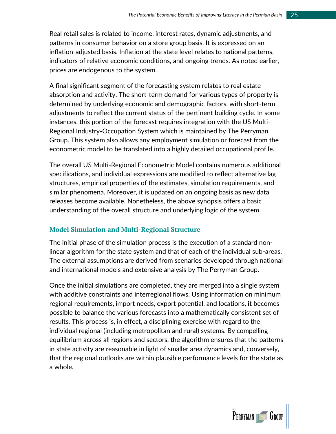Real retail sales is related to income, interest rates, dynamic adjustments, and patterns in consumer behavior on a store group basis. It is expressed on an inflation-adjusted basis. Inflation at the state level relates to national patterns, indicators of relative economic conditions, and ongoing trends. As noted earlier, prices are endogenous to the system.

A final significant segment of the forecasting system relates to real estate absorption and activity. The short-term demand for various types of property is determined by underlying economic and demographic factors, with short-term adjustments to reflect the current status of the pertinent building cycle. In some instances, this portion of the forecast requires integration with the US Multi-Regional Industry-Occupation System which is maintained by The Perryman Group. This system also allows any employment simulation or forecast from the econometric model to be translated into a highly detailed occupational profile.

The overall US Multi-Regional Econometric Model contains numerous additional specifications, and individual expressions are modified to reflect alternative lag structures, empirical properties of the estimates, simulation requirements, and similar phenomena. Moreover, it is updated on an ongoing basis as new data releases become available. Nonetheless, the above synopsis offers a basic understanding of the overall structure and underlying logic of the system.

#### **Model Simulation and Multi-Regional Structure**

The initial phase of the simulation process is the execution of a standard nonlinear algorithm for the state system and that of each of the individual sub-areas. The external assumptions are derived from scenarios developed through national and international models and extensive analysis by The Perryman Group.

Once the initial simulations are completed, they are merged into a single system with additive constraints and interregional flows. Using information on minimum regional requirements, import needs, export potential, and locations, it becomes possible to balance the various forecasts into a mathematically consistent set of results. This process is, in effect, a disciplining exercise with regard to the individual regional (including metropolitan and rural) systems. By compelling equilibrium across all regions and sectors, the algorithm ensures that the patterns in state activity are reasonable in light of smaller area dynamics and, conversely, that the regional outlooks are within plausible performance levels for the state as a whole.

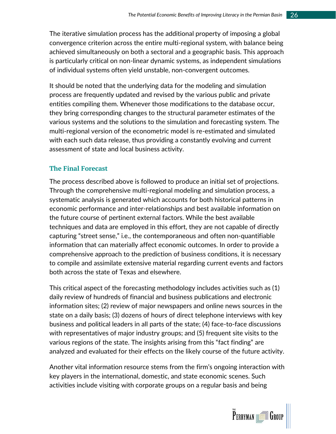The iterative simulation process has the additional property of imposing a global convergence criterion across the entire multi-regional system, with balance being achieved simultaneously on both a sectoral and a geographic basis. This approach is particularly critical on non-linear dynamic systems, as independent simulations of individual systems often yield unstable, non-convergent outcomes.

It should be noted that the underlying data for the modeling and simulation process are frequently updated and revised by the various public and private entities compiling them. Whenever those modifications to the database occur, they bring corresponding changes to the structural parameter estimates of the various systems and the solutions to the simulation and forecasting system. The multi-regional version of the econometric model is re-estimated and simulated with each such data release, thus providing a constantly evolving and current assessment of state and local business activity.

#### **The Final Forecast**

The process described above is followed to produce an initial set of projections. Through the comprehensive multi-regional modeling and simulation process, a systematic analysis is generated which accounts for both historical patterns in economic performance and inter-relationships and best available information on the future course of pertinent external factors. While the best available techniques and data are employed in this effort, they are not capable of directly capturing "street sense," i.e., the contemporaneous and often non-quantifiable information that can materially affect economic outcomes. In order to provide a comprehensive approach to the prediction of business conditions, it is necessary to compile and assimilate extensive material regarding current events and factors both across the state of Texas and elsewhere.

This critical aspect of the forecasting methodology includes activities such as (1) daily review of hundreds of financial and business publications and electronic information sites; (2) review of major newspapers and online news sources in the state on a daily basis; (3) dozens of hours of direct telephone interviews with key business and political leaders in all parts of the state; (4) face-to-face discussions with representatives of major industry groups; and (5) frequent site visits to the various regions of the state. The insights arising from this "fact finding" are analyzed and evaluated for their effects on the likely course of the future activity.

Another vital information resource stems from the firm's ongoing interaction with key players in the international, domestic, and state economic scenes. Such activities include visiting with corporate groups on a regular basis and being

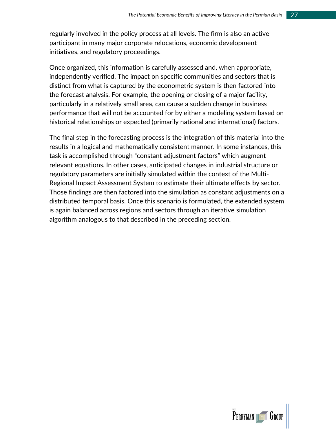regularly involved in the policy process at all levels. The firm is also an active participant in many major corporate relocations, economic development initiatives, and regulatory proceedings.

Once organized, this information is carefully assessed and, when appropriate, independently verified. The impact on specific communities and sectors that is distinct from what is captured by the econometric system is then factored into the forecast analysis. For example, the opening or closing of a major facility, particularly in a relatively small area, can cause a sudden change in business performance that will not be accounted for by either a modeling system based on historical relationships or expected (primarily national and international) factors.

The final step in the forecasting process is the integration of this material into the results in a logical and mathematically consistent manner. In some instances, this task is accomplished through "constant adjustment factors" which augment relevant equations. In other cases, anticipated changes in industrial structure or regulatory parameters are initially simulated within the context of the Multi-Regional Impact Assessment System to estimate their ultimate effects by sector. Those findings are then factored into the simulation as constant adjustments on a distributed temporal basis. Once this scenario is formulated, the extended system is again balanced across regions and sectors through an iterative simulation algorithm analogous to that described in the preceding section.

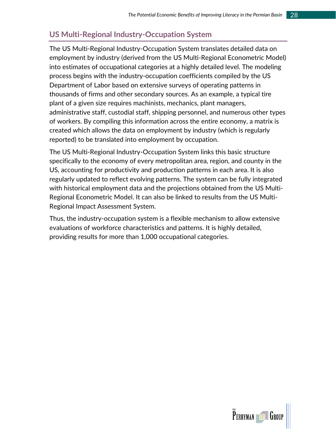### <span id="page-32-0"></span>**US Multi-Regional Industry-Occupation System**

The US Multi-Regional Industry-Occupation System translates detailed data on employment by industry (derived from the US Multi-Regional Econometric Model) into estimates of occupational categories at a highly detailed level. The modeling process begins with the industry-occupation coefficients compiled by the US Department of Labor based on extensive surveys of operating patterns in thousands of firms and other secondary sources. As an example, a typical tire plant of a given size requires machinists, mechanics, plant managers, administrative staff, custodial staff, shipping personnel, and numerous other types of workers. By compiling this information across the entire economy, a matrix is created which allows the data on employment by industry (which is regularly reported) to be translated into employment by occupation.

The US Multi-Regional Industry-Occupation System links this basic structure specifically to the economy of every metropolitan area, region, and county in the US, accounting for productivity and production patterns in each area. It is also regularly updated to reflect evolving patterns. The system can be fully integrated with historical employment data and the projections obtained from the US Multi-Regional Econometric Model. It can also be linked to results from the US Multi-Regional Impact Assessment System.

Thus, the industry-occupation system is a flexible mechanism to allow extensive evaluations of workforce characteristics and patterns. It is highly detailed, providing results for more than 1,000 occupational categories.

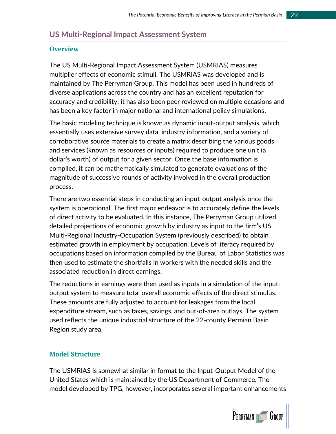### <span id="page-33-0"></span>**US Multi-Regional Impact Assessment System**

#### **Overview**

The US Multi-Regional Impact Assessment System (USMRIAS) measures multiplier effects of economic stimuli. The USMRIAS was developed and is maintained by The Perryman Group. This model has been used in hundreds of diverse applications across the country and has an excellent reputation for accuracy and credibility; it has also been peer reviewed on multiple occasions and has been a key factor in major national and international policy simulations.

The basic modeling technique is known as dynamic input-output analysis, which essentially uses extensive survey data, industry information, and a variety of corroborative source materials to create a matrix describing the various goods and services (known as resources or inputs) required to produce one unit (a dollar's worth) of output for a given sector. Once the base information is compiled, it can be mathematically simulated to generate evaluations of the magnitude of successive rounds of activity involved in the overall production process.

There are two essential steps in conducting an input-output analysis once the system is operational. The first major endeavor is to accurately define the levels of direct activity to be evaluated. In this instance, The Perryman Group utilized detailed projections of economic growth by industry as input to the firm's US Multi-Regional Industry-Occupation System (previously described) to obtain estimated growth in employment by occupation. Levels of literacy required by occupations based on information compiled by the Bureau of Labor Statistics was then used to estimate the shortfalls in workers with the needed skills and the associated reduction in direct earnings.

The reductions in earnings were then used as inputs in a simulation of the inputoutput system to measure total overall economic effects of the direct stimulus. These amounts are fully adjusted to account for leakages from the local expenditure stream, such as taxes, savings, and out-of-area outlays. The system used reflects the unique industrial structure of the 22-county Permian Basin Region study area.

#### **Model Structure**

The USMRIAS is somewhat similar in format to the Input-Output Model of the United States which is maintained by the US Department of Commerce. The model developed by TPG, however, incorporates several important enhancements

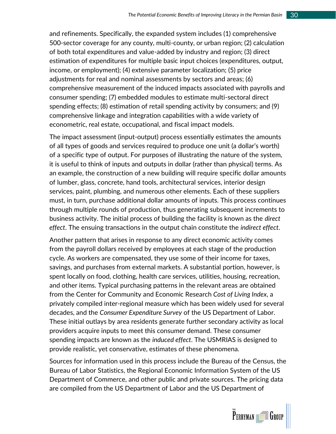and refinements. Specifically, the expanded system includes (1) comprehensive 500-sector coverage for any county, multi-county, or urban region; (2) calculation of both total expenditures and value-added by industry and region; (3) direct estimation of expenditures for multiple basic input choices (expenditures, output, income, or employment); (4) extensive parameter localization; (5) price adjustments for real and nominal assessments by sectors and areas; (6) comprehensive measurement of the induced impacts associated with payrolls and consumer spending; (7) embedded modules to estimate multi-sectoral direct spending effects; (8) estimation of retail spending activity by consumers; and (9) comprehensive linkage and integration capabilities with a wide variety of econometric, real estate, occupational, and fiscal impact models.

The impact assessment (input-output) process essentially estimates the amounts of all types of goods and services required to produce one unit (a dollar's worth) of a specific type of output. For purposes of illustrating the nature of the system, it is useful to think of inputs and outputs in dollar (rather than physical) terms. As an example, the construction of a new building will require specific dollar amounts of lumber, glass, concrete, hand tools, architectural services, interior design services, paint, plumbing, and numerous other elements. Each of these suppliers must, in turn, purchase additional dollar amounts of inputs. This process continues through multiple rounds of production, thus generating subsequent increments to business activity. The initial process of building the facility is known as the *direct effect*. The ensuing transactions in the output chain constitute the *indirect effect*.

Another pattern that arises in response to any direct economic activity comes from the payroll dollars received by employees at each stage of the production cycle. As workers are compensated, they use some of their income for taxes, savings, and purchases from external markets. A substantial portion, however, is spent locally on food, clothing, health care services, utilities, housing, recreation, and other items. Typical purchasing patterns in the relevant areas are obtained from the Center for Community and Economic Research *Cost of Living Index*, a privately compiled inter-regional measure which has been widely used for several decades, and the *Consumer Expenditure Survey* of the US Department of Labor. These initial outlays by area residents generate further secondary activity as local providers acquire inputs to meet this consumer demand. These consumer spending impacts are known as the *induced effect*. The USMRIAS is designed to provide realistic, yet conservative, estimates of these phenomena.

Sources for information used in this process include the Bureau of the Census, the Bureau of Labor Statistics, the Regional Economic Information System of the US Department of Commerce, and other public and private sources. The pricing data are compiled from the US Department of Labor and the US Department of

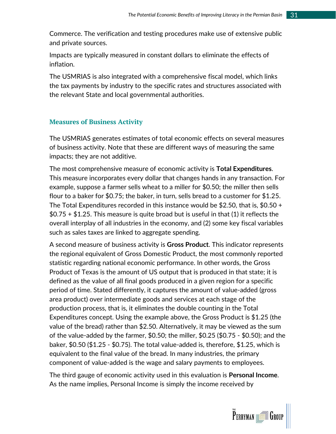Commerce. The verification and testing procedures make use of extensive public and private sources.

Impacts are typically measured in constant dollars to eliminate the effects of inflation.

The USMRIAS is also integrated with a comprehensive fiscal model, which links the tax payments by industry to the specific rates and structures associated with the relevant State and local governmental authorities.

#### **Measures of Business Activity**

The USMRIAS generates estimates of total economic effects on several measures of business activity. Note that these are different ways of measuring the same impacts; they are not additive.

The most comprehensive measure of economic activity is **Total Expenditures**. This measure incorporates every dollar that changes hands in any transaction. For example, suppose a farmer sells wheat to a miller for \$0.50; the miller then sells flour to a baker for \$0.75; the baker, in turn, sells bread to a customer for \$1.25. The Total Expenditures recorded in this instance would be \$2.50, that is, \$0.50 +  $$0.75 + $1.25$ . This measure is quite broad but is useful in that (1) it reflects the overall interplay of all industries in the economy, and (2) some key fiscal variables such as sales taxes are linked to aggregate spending.

A second measure of business activity is **Gross Product**. This indicator represents the regional equivalent of Gross Domestic Product, the most commonly reported statistic regarding national economic performance. In other words, the Gross Product of Texas is the amount of US output that is produced in that state; it is defined as the value of all final goods produced in a given region for a specific period of time. Stated differently, it captures the amount of value-added (gross area product) over intermediate goods and services at each stage of the production process, that is, it eliminates the double counting in the Total Expenditures concept. Using the example above, the Gross Product is \$1.25 (the value of the bread) rather than \$2.50. Alternatively, it may be viewed as the sum of the value-added by the farmer, \$0.50; the miller, \$0.25 (\$0.75 - \$0.50); and the baker, \$0.50 (\$1.25 - \$0.75). The total value-added is, therefore, \$1.25, which is equivalent to the final value of the bread. In many industries, the primary component of value-added is the wage and salary payments to employees.

The third gauge of economic activity used in this evaluation is **Personal Income**. As the name implies, Personal Income is simply the income received by

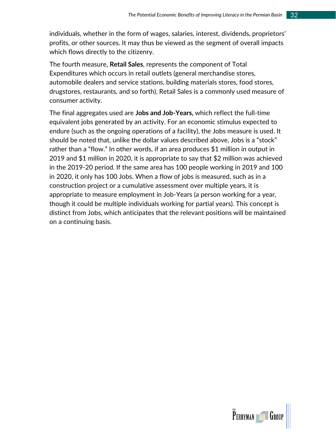individuals, whether in the form of wages, salaries, interest, dividends, proprietors' profits, or other sources. It may thus be viewed as the segment of overall impacts which flows directly to the citizenry.

The fourth measure, **Retail Sales**, represents the component of Total Expenditures which occurs in retail outlets (general merchandise stores, automobile dealers and service stations, building materials stores, food stores, drugstores, restaurants, and so forth). Retail Sales is a commonly used measure of consumer activity.

The final aggregates used are **Jobs and Job-Years,** which reflect the full-time equivalent jobs generated by an activity. For an economic stimulus expected to endure (such as the ongoing operations of a facility), the Jobs measure is used. It should be noted that, unlike the dollar values described above, Jobs is a "stock" rather than a "flow." In other words, if an area produces \$1 million in output in 2019 and \$1 million in 2020, it is appropriate to say that \$2 million was achieved in the 2019-20 period. If the same area has 100 people working in 2019 and 100 in 2020, it only has 100 Jobs. When a flow of jobs is measured, such as in a construction project or a cumulative assessment over multiple years, it is appropriate to measure employment in Job-Years (a person working for a year, though it could be multiple individuals working for partial years). This concept is distinct from Jobs, which anticipates that the relevant positions will be maintained on a continuing basis.

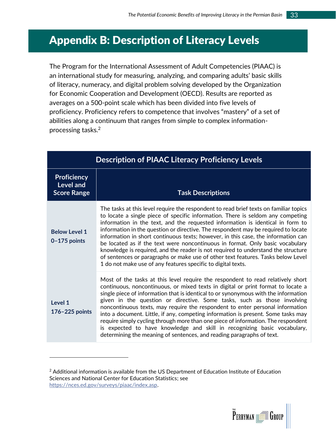# <span id="page-37-0"></span>Appendix B: Description of Literacy Levels

The Program for the International Assessment of Adult Competencies (PIAAC) is an international study for measuring, analyzing, and comparing adults' basic skills of literacy, numeracy, and digital problem solving developed by the Organization for Economic Cooperation and Development (OECD). Results are reported as averages on a 500-point scale which has been divided into five levels of proficiency. Proficiency refers to competence that involves "mastery" of a set of abilities along a continuum that ranges from simple to complex informationprocessing tasks.<sup>2</sup>

| <b>Description of PIAAC Literacy Proficiency Levels</b>      |                                                                                                                                                                                                                                                                                                                                                                                                                                                                                                                                                                                                                                                                                                                                                                 |  |  |
|--------------------------------------------------------------|-----------------------------------------------------------------------------------------------------------------------------------------------------------------------------------------------------------------------------------------------------------------------------------------------------------------------------------------------------------------------------------------------------------------------------------------------------------------------------------------------------------------------------------------------------------------------------------------------------------------------------------------------------------------------------------------------------------------------------------------------------------------|--|--|
| <b>Proficiency</b><br><b>Level and</b><br><b>Score Range</b> | <b>Task Descriptions</b>                                                                                                                                                                                                                                                                                                                                                                                                                                                                                                                                                                                                                                                                                                                                        |  |  |
| <b>Below Level 1</b><br>$0 - 175$ points                     | The tasks at this level require the respondent to read brief texts on familiar topics<br>to locate a single piece of specific information. There is seldom any competing<br>information in the text, and the requested information is identical in form to<br>information in the question or directive. The respondent may be required to locate<br>information in short continuous texts; however, in this case, the information can<br>be located as if the text were noncontinuous in format. Only basic vocabulary<br>knowledge is required, and the reader is not required to understand the structure<br>of sentences or paragraphs or make use of other text features. Tasks below Level<br>1 do not make use of any features specific to digital texts. |  |  |
| Level 1<br>176-225 points                                    | Most of the tasks at this level require the respondent to read relatively short<br>continuous, noncontinuous, or mixed texts in digital or print format to locate a<br>single piece of information that is identical to or synonymous with the information<br>given in the question or directive. Some tasks, such as those involving<br>noncontinuous texts, may require the respondent to enter personal information<br>into a document. Little, if any, competing information is present. Some tasks may<br>require simply cycling through more than one piece of information. The respondent<br>is expected to have knowledge and skill in recognizing basic vocabulary,<br>determining the meaning of sentences, and reading paragraphs of text.           |  |  |

 $<sup>2</sup>$  Additional information is available from the US Department of Education Institute of Education</sup> Sciences and National Center for Education Statistics; see [https://nces.ed.gov/surveys/piaac/index.asp.](https://nces.ed.gov/surveys/piaac/index.asp)

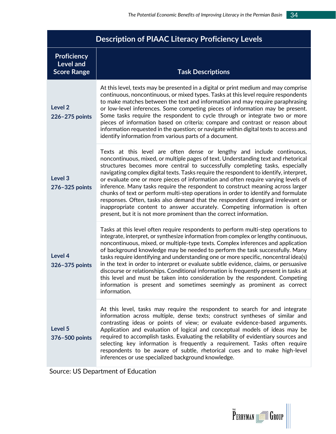| <b>Description of PIAAC Literacy Proficiency Levels</b>      |                                                                                                                                                                                                                                                                                                                                                                                                                                                                                                                                                                                                                                                                                                                                                                                                                                              |  |  |
|--------------------------------------------------------------|----------------------------------------------------------------------------------------------------------------------------------------------------------------------------------------------------------------------------------------------------------------------------------------------------------------------------------------------------------------------------------------------------------------------------------------------------------------------------------------------------------------------------------------------------------------------------------------------------------------------------------------------------------------------------------------------------------------------------------------------------------------------------------------------------------------------------------------------|--|--|
| <b>Proficiency</b><br><b>Level and</b><br><b>Score Range</b> | <b>Task Descriptions</b>                                                                                                                                                                                                                                                                                                                                                                                                                                                                                                                                                                                                                                                                                                                                                                                                                     |  |  |
| Level <sub>2</sub><br>226-275 points                         | At this level, texts may be presented in a digital or print medium and may comprise<br>continuous, noncontinuous, or mixed types. Tasks at this level require respondents<br>to make matches between the text and information and may require paraphrasing<br>or low-level inferences. Some competing pieces of information may be present.<br>Some tasks require the respondent to cycle through or integrate two or more<br>pieces of information based on criteria; compare and contrast or reason about<br>information requested in the question; or navigate within digital texts to access and<br>identify information from various parts of a document.                                                                                                                                                                               |  |  |
| Level <sub>3</sub><br>276-325 points                         | Texts at this level are often dense or lengthy and include continuous,<br>noncontinuous, mixed, or multiple pages of text. Understanding text and rhetorical<br>structures becomes more central to successfully completing tasks, especially<br>navigating complex digital texts. Tasks require the respondent to identify, interpret,<br>or evaluate one or more pieces of information and often require varying levels of<br>inference. Many tasks require the respondent to construct meaning across larger<br>chunks of text or perform multi-step operations in order to identify and formulate<br>responses. Often, tasks also demand that the respondent disregard irrelevant or<br>inappropriate content to answer accurately. Competing information is often<br>present, but it is not more prominent than the correct information. |  |  |
| Level 4<br>326-375 points                                    | Tasks at this level often require respondents to perform multi-step operations to<br>integrate, interpret, or synthesize information from complex or lengthy continuous,<br>noncontinuous, mixed, or multiple-type texts. Complex inferences and application<br>of background knowledge may be needed to perform the task successfully. Many<br>tasks require identifying and understanding one or more specific, noncentral idea(s)<br>in the text in order to interpret or evaluate subtle evidence, claims, or persuasive<br>discourse or relationships. Conditional information is frequently present in tasks at<br>this level and must be taken into consideration by the respondent. Competing<br>information is present and sometimes seemingly as prominent as correct<br>information.                                              |  |  |
| Level 5<br>376-500 points                                    | At this level, tasks may require the respondent to search for and integrate<br>information across multiple, dense texts; construct syntheses of similar and<br>contrasting ideas or points of view; or evaluate evidence-based arguments.<br>Application and evaluation of logical and conceptual models of ideas may be<br>required to accomplish tasks. Evaluating the reliability of evidentiary sources and<br>selecting key information is frequently a requirement. Tasks often require<br>respondents to be aware of subtle, rhetorical cues and to make high-level<br>inferences or use specialized background knowledge.                                                                                                                                                                                                            |  |  |

Source: US Department of Education

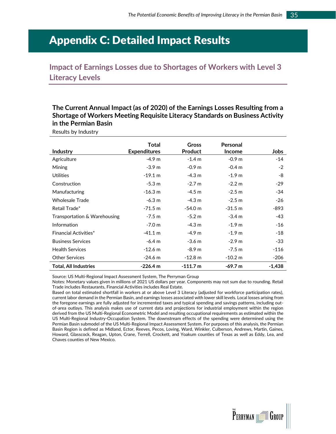# <span id="page-39-0"></span>Appendix C: Detailed Impact Results

<span id="page-39-1"></span>**Impact of Earnings Losses due to Shortages of Workers with Level 3 Literacy Levels**

**The Current Annual Impact (as of 2020) of the Earnings Losses Resulting from a Shortage of Workers Meeting Requisite Literacy Standards on Business Activity in the Permian Basin**

Results by Industry

|                              | Total               | <b>Gross</b>      | Personal          |          |
|------------------------------|---------------------|-------------------|-------------------|----------|
| <b>Industry</b>              | <b>Expenditures</b> | <b>Product</b>    | <b>Income</b>     | Jobs     |
| Agriculture                  | $-4.9m$             | $-1.4 m$          | $-0.9m$           | $-14$    |
| <b>Mining</b>                | $-3.9 m$            | $-0.9m$           | $-0.4m$           | $-2$     |
| <b>Utilities</b>             | $-19.1 \text{ m}$   | $-4.3 m$          | $-1.9 m$          | -8       |
| Construction                 | $-5.3 m$            | $-2.7 m$          | $-2.2 m$          | $-29$    |
| Manufacturing                | $-16.3 m$           | $-4.5 m$          | $-2.5 m$          | -34      |
| <b>Wholesale Trade</b>       | $-6.3 \text{ m}$    | $-4.3 m$          | $-2.5 m$          | -26      |
| Retail Trade*                | $-71.5 m$           | $-54.0 m$         | $-31.5 m$         | -893     |
| Transportation & Warehousing | $-7.5 m$            | $-5.2 m$          | $-3.4 m$          | -43      |
| Information                  | $-7.0 m$            | $-4.3 m$          | $-1.9m$           | -16      |
| <b>Financial Activities*</b> | $-41.1 m$           | $-4.9m$           | $-1.9m$           | -18      |
| <b>Business Services</b>     | $-6.4 m$            | $-3.6 m$          | $-2.9m$           | -33      |
| <b>Health Services</b>       | $-12.6$ m           | $-8.9m$           | $-7.5 m$          | $-116$   |
| <b>Other Services</b>        | $-24.6 \text{ m}$   | $-12.8 \text{ m}$ | $-10.2 \text{ m}$ | $-206$   |
| <b>Total, All Industries</b> | $-226.4 m$          | $-111.7m$         | $-69.7 m$         | $-1,438$ |

Source: US Multi-Regional Impact Assessment System, The Perryman Group

Notes: Monetary values given in millions of 2021 US dollars per year. Components may not sum due to rounding. Retail Trade includes Restaurants, Financial Activities includes Real Estate.

Based on total estimated shortfall in workers at or above Level 3 Literacy (adjusted for workforce participation rates), current labor demand in the Permian Basin, and earnings losses associated with lower skill levels. Local losses arising from the foregone earnings are fully adjusted for incremented taxes and typical spending and savings patterns, including outof-area outlays. This analysis makes use of current data and projections for industrial employment within the region derived from the US Multi-Regional Econometric Model and resulting occupational requirements as estimated within the US Multi-Regional Industry-Occupation System. The downstream effects of the spending were determined using the Permian Basin submodel of the US Multi-Regional Impact Assessment System. For purposes of this analysis, the Permian Basin Region is defined as Midland, Ector, Reeves, Pecos, Loving, Ward, Winkler, Culberson, Andrews, Martin, Gaines, Howard, Glasscock, Reagan, Upton, Crane, Terrell, Crockett, and Yoakum counties of Texas as well as Eddy, Lea, and Chaves counties of New Mexico.

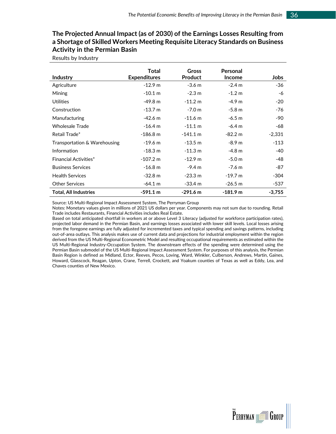#### **The Projected Annual Impact (as of 2030) of the Earnings Losses Resulting from a Shortage of Skilled Workers Meeting Requisite Literacy Standards on Business Activity in the Permian Basin**

Results by Industry

|                              | Total               | <b>Gross</b>       | Personal      |             |
|------------------------------|---------------------|--------------------|---------------|-------------|
| <b>Industry</b>              | <b>Expenditures</b> | <b>Product</b>     | <b>Income</b> | <b>Jobs</b> |
| Agriculture                  | $-12.9 m$           | $-3.6 m$           | $-2.4 m$      | -36         |
| Mining                       | $-10.1 \text{ m}$   | $-2.3 \text{ m}$   | $-1.2 m$      | -6          |
| <b>Utilities</b>             | $-49.8 m$           | $-11.2 m$          | $-4.9m$       | -20         |
| Construction                 | $-13.7 \text{ m}$   | $-7.0 m$           | $-5.8 m$      | -76         |
| Manufacturing                | $-42.6$ m           | $-11.6$ m          | $-6.5 m$      | -90         |
| <b>Wholesale Trade</b>       | $-16.4 \text{ m}$   | $-11.1 \text{ m}$  | $-6.4 m$      | -68         |
| Retail Trade*                | $-186.8 m$          | $-141.1 \text{ m}$ | $-82.2 m$     | $-2,331$    |
| Transportation & Warehousing | $-19.6$ m           | $-13.5 m$          | $-8.9 m$      | $-113$      |
| Information                  | $-18.3 \text{ m}$   | $-11.3 m$          | $-4.8m$       | -40         |
| <b>Financial Activities*</b> | $-107.2 m$          | $-12.9 m$          | $-5.0 m$      | -48         |
| <b>Business Services</b>     | $-16.8 m$           | $-9.4 m$           | $-7.6 m$      | -87         |
| <b>Health Services</b>       | $-32.8 \text{ m}$   | $-23.3 \text{ m}$  | $-19.7 m$     | $-304$      |
| <b>Other Services</b>        | $-64.1 \text{ m}$   | $-33.4 \text{ m}$  | $-26.5 m$     | -537        |
| <b>Total, All Industries</b> | $-591.1 m$          | $-291.6$ m         | $-181.9m$     | $-3,755$    |

Source: US Multi-Regional Impact Assessment System, The Perryman Group

Notes: Monetary values given in millions of 2021 US dollars per year. Components may not sum due to rounding. Retail Trade includes Restaurants, Financial Activities includes Real Estate.

Based on total anticipated shortfall in workers at or above Level 3 Literacy (adjusted for workforce participation rates), projected labor demand in the Permian Basin, and earnings losses associated with lower skill levels. Local losses arising from the foregone earnings are fully adjusted for incremented taxes and typical spending and savings patterns, including out-of-area outlays. This analysis makes use of current data and projections for industrial employment within the region derived from the US Multi-Regional Econometric Model and resulting occupational requirements as estimated within the US Multi-Regional Industry-Occupation System. The downstream effects of the spending were determined using the Permian Basin submodel of the US Multi-Regional Impact Assessment System. For purposes of this analysis, the Permian Basin Region is defined as Midland, Ector, Reeves, Pecos, Loving, Ward, Winkler, Culberson, Andrews, Martin, Gaines, Howard, Glasscock, Reagan, Upton, Crane, Terrell, Crockett, and Yoakum counties of Texas as well as Eddy, Lea, and Chaves counties of New Mexico.

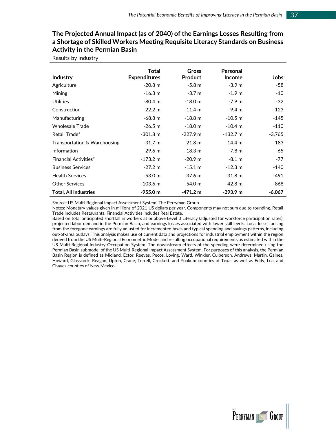#### **The Projected Annual Impact (as of 2040) of the Earnings Losses Resulting from a Shortage of Skilled Workers Meeting Requisite Literacy Standards on Business Activity in the Permian Basin**

Results by Industry

|                              | Total               | Gross              | Personal          |          |
|------------------------------|---------------------|--------------------|-------------------|----------|
| <b>Industry</b>              | <b>Expenditures</b> | <b>Product</b>     | <b>Income</b>     | Jobs     |
| Agriculture                  | $-20.8m$            | $-5.8 m$           | $-3.9m$           | -58      |
| Mining                       | $-16.3 m$           | $-3.7m$            | $-1.9m$           | $-10$    |
| <b>Utilities</b>             | $-80.4 \text{ m}$   | $-18.0 m$          | $-7.9m$           | $-32$    |
| Construction                 | $-22.2 m$           | $-11.4 m$          | $-9.4 m$          | $-123$   |
| Manufacturing                | $-68.8 m$           | $-18.8 m$          | $-10.5$ m         | -145     |
| <b>Wholesale Trade</b>       | $-26.5 m$           | $-18.0 m$          | $-10.4$ m         | $-110$   |
| Retail Trade*                | $-301.8 \text{ m}$  | $-227.9$ m         | $-132.7 m$        | $-3,765$ |
| Transportation & Warehousing | $-31.7 \text{ m}$   | $-21.8 \text{ m}$  | $-14.4 m$         | $-183$   |
| Information                  | $-29.6 \text{ m}$   | $-18.3 m$          | $-7.8 m$          | -65      |
| <b>Financial Activities*</b> | $-173.2 \text{ m}$  | $-20.9m$           | $-8.1 m$          | $-77$    |
| <b>Business Services</b>     | $-27.2 \text{ m}$   | $-15.1 m$          | $-12.3 \text{ m}$ | $-140$   |
| <b>Health Services</b>       | $-53.0 m$           | $-37.6 m$          | $-31.8 m$         | -491     |
| <b>Other Services</b>        | $-103.6$ m          | $-54.0 m$          | $-42.8 m$         | -868     |
| <b>Total, All Industries</b> | -955.0 m            | $-471.2 \text{ m}$ | $-293.9 m$        | $-6,067$ |

Source: US Multi-Regional Impact Assessment System, The Perryman Group

Notes: Monetary values given in millions of 2021 US dollars per year. Components may not sum due to rounding. Retail Trade includes Restaurants, Financial Activities includes Real Estate.

Based on total anticipated shortfall in workers at or above Level 3 Literacy (adjusted for workforce participation rates), projected labor demand in the Permian Basin, and earnings losses associated with lower skill levels. Local losses arising from the foregone earnings are fully adjusted for incremented taxes and typical spending and savings patterns, including out-of-area outlays. This analysis makes use of current data and projections for industrial employment within the region derived from the US Multi-Regional Econometric Model and resulting occupational requirements as estimated within the US Multi-Regional Industry-Occupation System. The downstream effects of the spending were determined using the Permian Basin submodel of the US Multi-Regional Impact Assessment System. For purposes of this analysis, the Permian Basin Region is defined as Midland, Ector, Reeves, Pecos, Loving, Ward, Winkler, Culberson, Andrews, Martin, Gaines, Howard, Glasscock, Reagan, Upton, Crane, Terrell, Crockett, and Yoakum counties of Texas as well as Eddy, Lea, and Chaves counties of New Mexico.

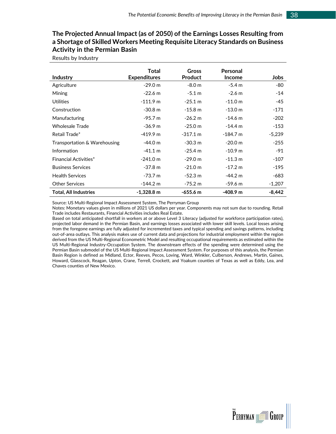#### **The Projected Annual Impact (as of 2050) of the Earnings Losses Resulting from a Shortage of Skilled Workers Meeting Requisite Literacy Standards on Business Activity in the Permian Basin**

Results by Industry

|                              | Total               | <b>Gross</b>       | Personal          |          |
|------------------------------|---------------------|--------------------|-------------------|----------|
| Industry                     | <b>Expenditures</b> | <b>Product</b>     | <b>Income</b>     | Jobs     |
| Agriculture                  | $-29.0 m$           | $-8.0 m$           | $-5.4 m$          | -80      |
| Mining                       | $-22.6$ m           | $-5.1 m$           | $-2.6 \text{ m}$  | $-14$    |
| <b>Utilities</b>             | $-111.9 m$          | $-25.1 \text{ m}$  | $-11.0 m$         | -45      |
| Construction                 | $-30.8m$            | $-15.8 m$          | $-13.0 m$         | $-171$   |
| Manufacturing                | $-95.7 m$           | $-26.2 m$          | $-14.6$ m         | $-202$   |
| Wholesale Trade              | $-36.9 \text{ m}$   | $-25.0 m$          | $-14.4 \text{ m}$ | $-153$   |
| Retail Trade*                | $-419.9 m$          | $-317.1 \text{ m}$ | $-184.7 m$        | $-5,239$ |
| Transportation & Warehousing | $-44.0 m$           | $-30.3 m$          | $-20.0 m$         | $-255$   |
| Information                  | $-41.1 \text{ m}$   | $-25.4 m$          | $-10.9$ m         | -91      |
| <b>Financial Activities*</b> | $-241.0 m$          | $-29.0 m$          | $-11.3 \text{ m}$ | $-107$   |
| <b>Business Services</b>     | $-37.8 \text{ m}$   | $-21.0 m$          | $-17.2 m$         | -195     |
| <b>Health Services</b>       | $-73.7 \text{ m}$   | $-52.3 m$          | $-44.2 \text{ m}$ | -683     |
| <b>Other Services</b>        | $-144.2 \text{ m}$  | $-75.2 m$          | $-59.6$ m         | $-1,207$ |
| <b>Total, All Industries</b> | $-1,328.8$ m        | $-655.6 m$         | $-408.9$ m        | $-8,442$ |

Source: US Multi-Regional Impact Assessment System, The Perryman Group

Notes: Monetary values given in millions of 2021 US dollars per year. Components may not sum due to rounding. Retail Trade includes Restaurants, Financial Activities includes Real Estate.

Based on total anticipated shortfall in workers at or above Level 3 Literacy (adjusted for workforce participation rates), projected labor demand in the Permian Basin, and earnings losses associated with lower skill levels. Local losses arising from the foregone earnings are fully adjusted for incremented taxes and typical spending and savings patterns, including out-of-area outlays. This analysis makes use of current data and projections for industrial employment within the region derived from the US Multi-Regional Econometric Model and resulting occupational requirements as estimated within the US Multi-Regional Industry-Occupation System. The downstream effects of the spending were determined using the Permian Basin submodel of the US Multi-Regional Impact Assessment System. For purposes of this analysis, the Permian Basin Region is defined as Midland, Ector, Reeves, Pecos, Loving, Ward, Winkler, Culberson, Andrews, Martin, Gaines, Howard, Glasscock, Reagan, Upton, Crane, Terrell, Crockett, and Yoakum counties of Texas as well as Eddy, Lea, and Chaves counties of New Mexico.



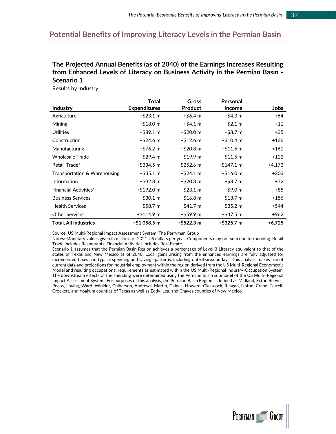### <span id="page-43-0"></span>**Potential Benefits of Improving Literacy Levels in the Permian Basin**

#### **The Projected Annual Benefits (as of 2040) of the Earnings Increases Resulting from Enhanced Levels of Literacy on Business Activity in the Permian Basin - Scenario 1**

|                              | Total               | Gross               | Personal             |          |
|------------------------------|---------------------|---------------------|----------------------|----------|
| <b>Industry</b>              | <b>Expenditures</b> | <b>Product</b>      | <b>Income</b>        | Jobs     |
| Agriculture                  | $+$ \$23.1 m        | $+$ \$6.4 m         | $+$ \$4.3 m          | $+64$    |
| <b>Mining</b>                | $+ $18.0 \text{ m}$ | $+$ \$4.1 m         | $+ $2.1 m$           | $+11$    |
| Utilities                    | $+$ \$89.1 m        | $+$ \$20.0 m        | $+$ \$8.7 m          | $+35$    |
| Construction                 | $+$ \$24.6 m        | $+ $12.6 \text{ m}$ | $+ $10.4 \text{ m}$  | $+136$   |
| Manufacturing                | $+$ \$76.2 m        | $+ $20.8 \text{ m}$ | $+ $11.6 \text{ m}$  | $+161$   |
| Wholesale Trade              | $+$ \$29.4 m        | $+ $19.9 \text{ m}$ | $+ $11.5 \text{ m}$  | $+122$   |
| Retail Trade*                | $+$ \$334.5 m       | $+$ \$252.6 m       | $+ $147.1 \text{ m}$ | +4,173   |
| Transportation & Warehousing | $+$ \$35.1 m        | $+ $24.1 m$         | $+ $16.0 \text{ m}$  | $+203$   |
| Information                  | $+$ \$32.8 m        | $+ $20.3 \text{ m}$ | +\$8.7 m             | $+72$    |
| <b>Financial Activities*</b> | +\$192.0 m          | $+ $23.1 m$         | $+ $9.0 m$           | +85      |
| <b>Business Services</b>     | $+$ \$30.1 m        | $+ $16.8 \text{ m}$ | $+ $13.7 \text{ m}$  | $+156$   |
| <b>Health Services</b>       | $+$ \$58.7 m        | $+$ \$41.7 m        | $+$ \$35.2 m         | +544     |
| <b>Other Services</b>        | +\$114.9 m          | +\$59.9 m           | +\$47.5 m            | $+962$   |
| <b>Total, All Industries</b> | +\$1.058.5 m        | +\$522.3 m          | +\$325.7 m           | $+6,725$ |

Results by Industry

Source: US Multi-Regional Impact Assessment System, The Perryman Group

Notes: Monetary values given in millions of 2021 US dollars per year. Components may not sum due to rounding. Retail Trade includes Restaurants, Financial Activities includes Real Estate.

Scenario 1 assumes that the Permian Basin Region achieves a percentage of Level 3 Literacy equivalent to that of the states of Texas and New Mexico as of 2040. Local gains arising from the enhanced earnings are fully adjusted for incremented taxes and typical spending and savings patterns, including out-of-area outlays. This analysis makes use of current data and projections for industrial employment within the region derived from the US Multi-Regional Econometric Model and resulting occupational requirements as estimated within the US Multi-Regional Industry-Occupation System. The downstream effects of the spending were determined using the Permian Basin submodel of the US Multi=Regional Impact Assessment System. For purposes of this analysis, the Permian Basin Region is defined as Midland, Ector, Reeves, Pecos, Loving, Ward, Winkler, Culberson, Andrews, Martin, Gaines, Howard, Glasscock, Reagan, Upton, Crane, Terrell, Crockett, and Yoakum counties of Texas as well as Eddy, Lea, and Chaves counties of New Mexico.

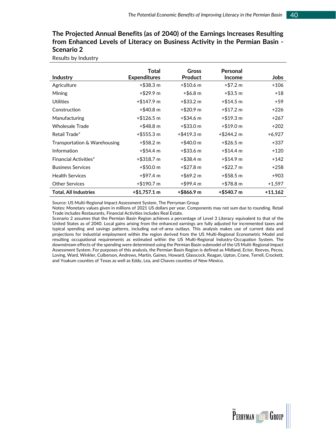#### **The Projected Annual Benefits (as of 2040) of the Earnings Increases Resulting from Enhanced Levels of Literacy on Business Activity in the Permian Basin - Scenario 2**

Results by Industry

|                              | Total                | Gross               | Personal            |           |
|------------------------------|----------------------|---------------------|---------------------|-----------|
| <b>Industry</b>              | <b>Expenditures</b>  | <b>Product</b>      | <b>Income</b>       | Jobs      |
| Agriculture                  | $+$ \$38.3 m         | $+ $10.6 \text{ m}$ | $+ $7.2 \text{ m}$  | $+106$    |
| Mining                       | +\$29.9 m            | $+$ \$6.8 m         | $+ $3.5 m$          | $+18$     |
| <b>Utilities</b>             | $+ $147.9 \text{ m}$ | +\$33.2 m           | $+ $14.5 \text{ m}$ | $+59$     |
| Construction                 | +\$40.8 m            | $+$ \$20.9 m        | $+ $17.2 \text{ m}$ | $+226$    |
| Manufacturing                | $+$ \$126.5 m        | +\$34.6 m           | $+ $19.3 \text{ m}$ | $+267$    |
| <b>Wholesale Trade</b>       | +\$48.8 m            | $+$ \$33.0 m        | $+ $19.0 \text{ m}$ | $+202$    |
| Retail Trade*                | $+$ \$555.3 m        | $+$ \$419.3 m       | $+$ \$244.2 m       | $+6,927$  |
| Transportation & Warehousing | $+$ \$58.2 m         | $+$ \$40.0 m        | $+$ \$26.5 m        | $+337$    |
| Information                  | +\$54.4 m            | +\$33.6 m           | $+ $14.4 \text{ m}$ | $+120$    |
| <b>Financial Activities*</b> | +\$318.7 m           | $+$ \$38.4 m        | $+ $14.9 \text{ m}$ | $+142$    |
| <b>Business Services</b>     | $+$ \$50.0 m         | $+$ \$27.8 m        | $+$ \$22.7 m        | $+258$    |
| <b>Health Services</b>       | $+$ \$97.4 m         | $+$ \$69.2 m        | $+$ \$58.5 m        | $+903$    |
| <b>Other Services</b>        | $+ $190.7 \text{ m}$ | +\$99.4 m           | $+ $78.8 \text{ m}$ | $+1,597$  |
| <b>Total, All Industries</b> | +\$1,757.1 m         | +\$866.9 m          | $+$ \$540.7 m       | $+11,162$ |

Source: US Multi-Regional Impact Assessment System, The Perryman Group

Notes: Monetary values given in millions of 2021 US dollars per year. Components may not sum due to rounding. Retail Trade includes Restaurants, Financial Activities includes Real Estate.

Scenario 2 assumes that the Permian Basin Region achieves a percentage of Level 3 Literacy equivalent to that of the United States as of 2040. Local gains arising from the enhanced earnings are fully adjusted for incremented taxes and typical spending and savings patterns, including out-of-area outlays. This analysis makes use of current data and projections for industrial employment within the region derived from the US Multi-Regional Econometric Model and resulting occupational requirements as estimated within the US Multi-Regional Industry-Occupation System. The downstream effects of the spending were determined using the Permian Basin submodel of the US Multi-Regional Impact Assessment System. For purposes of this analysis, the Permian Basin Region is defined as Midland, Ector, Reeves, Pecos, Loving, Ward, Winkler, Culberson, Andrews, Martin, Gaines, Howard, Glasscock, Reagan, Upton, Crane, Terrell, Crockett, and Yoakum counties of Texas as well as Eddy, Lea, and Chaves counties of New Mexico.